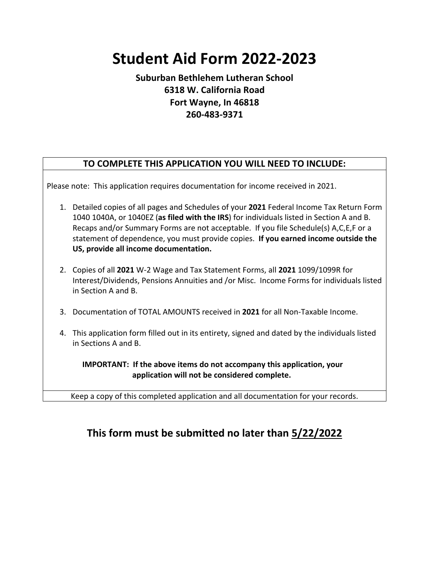## **Student Aid Form 2022-2023**

## **Suburban Bethlehem Lutheran School 6318 W. California Road Fort Wayne, In 46818 260-483-9371**

## **TO COMPLETE THIS APPLICATION YOU WILL NEED TO INCLUDE:**

Please note: This application requires documentation for income received in 2021.

- 1. Detailed copies of all pages and Schedules of your **2021** Federal Income Tax Return Form 1040 1040A, or 1040EZ (**as filed with the IRS**) for individuals listed in Section A and B. Recaps and/or Summary Forms are not acceptable. If you file Schedule(s) A,C,E,F or a statement of dependence, you must provide copies. **If you earned income outside the US, provide all income documentation.**
- 2. Copies of all **2021** W-2 Wage and Tax Statement Forms, all **2021** 1099/1099R for Interest/Dividends, Pensions Annuities and /or Misc. Income Forms for individuals listed in Section A and B.
- 3. Documentation of TOTAL AMOUNTS received in **2021** for all Non-Taxable Income.
- 4. This application form filled out in its entirety, signed and dated by the individuals listed in Sections A and B.

 **IMPORTANT: If the above items do not accompany this application, your application will not be considered complete.**

Keep a copy of this completed application and all documentation for your records.

## **This form must be submitted no later than 5/22/2022**